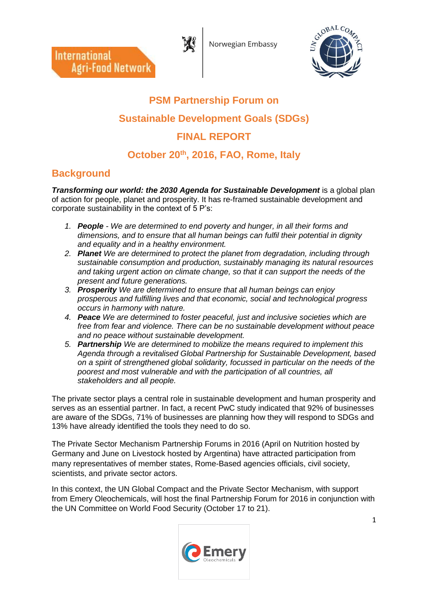Norwegian Embassy



# **PSM Partnership Forum on Sustainable Development Goals (SDGs) FINAL REPORT October 20th, 2016, FAO, Rome, Italy**

 $\overline{\phantom{a}}$ 

# **Background**

**International** 

**Agri-Food Network** 

*Transforming our world: the 2030 Agenda for Sustainable Development* is a global plan of action for people, planet and prosperity. It has re-framed sustainable development and corporate sustainability in the context of 5 P's:

- *1. People - We are determined to end poverty and hunger, in all their forms and dimensions, and to ensure that all human beings can fulfil their potential in dignity and equality and in a healthy environment.*
- *2. Planet We are determined to protect the planet from degradation, including through sustainable consumption and production, sustainably managing its natural resources and taking urgent action on climate change, so that it can support the needs of the present and future generations.*
- *3. Prosperity We are determined to ensure that all human beings can enjoy prosperous and fulfilling lives and that economic, social and technological progress occurs in harmony with nature.*
- *4. Peace We are determined to foster peaceful, just and inclusive societies which are free from fear and violence. There can be no sustainable development without peace and no peace without sustainable development.*
- *5. Partnership We are determined to mobilize the means required to implement this Agenda through a revitalised Global Partnership for Sustainable Development, based on a spirit of strengthened global solidarity, focussed in particular on the needs of the poorest and most vulnerable and with the participation of all countries, all stakeholders and all people.*

The private sector plays a central role in sustainable development and human prosperity and serves as an essential partner. In fact, a recent PwC study indicated that 92% of businesses are aware of the SDGs, 71% of businesses are planning how they will respond to SDGs and 13% have already identified the tools they need to do so.

The Private Sector Mechanism Partnership Forums in 2016 (April on Nutrition hosted by Germany and June on Livestock hosted by Argentina) have attracted participation from many representatives of member states, Rome-Based agencies officials, civil society, scientists, and private sector actors.

In this context, the UN Global Compact and the Private Sector Mechanism, with support from Emery Oleochemicals, will host the final Partnership Forum for 2016 in conjunction with the UN Committee on World Food Security (October 17 to 21).

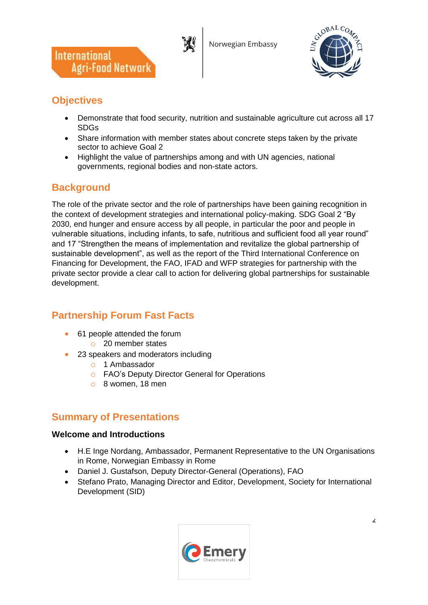





# **Objectives**

- Demonstrate that food security, nutrition and sustainable agriculture cut across all 17 SDGs
- Share information with member states about concrete steps taken by the private sector to achieve Goal 2
- Highlight the value of partnerships among and with UN agencies, national governments, regional bodies and non-state actors.

# **Background**

The role of the private sector and the role of partnerships have been gaining recognition in the context of development strategies and international policy-making. SDG Goal 2 "By 2030, end hunger and ensure access by all people, in particular the poor and people in vulnerable situations, including infants, to safe, nutritious and sufficient food all year round" and 17 "Strengthen the means of implementation and revitalize the global partnership of sustainable development", as well as the report of the Third International Conference on Financing for Development, the FAO, IFAD and WFP strategies for partnership with the private sector provide a clear call to action for delivering global partnerships for sustainable development.

# **Partnership Forum Fast Facts**

- 61 people attended the forum
	- o 20 member states
- 23 speakers and moderators including
	- o 1 Ambassador
	- o FAO's Deputy Director General for Operations
	- o 8 women, 18 men

# **Summary of Presentations**

#### **Welcome and Introductions**

- H.E Inge Nordang, Ambassador, Permanent Representative to the UN Organisations in Rome, Norwegian Embassy in Rome
- Daniel J. Gustafson, Deputy Director-General (Operations), FAO
- Stefano Prato, Managing Director and Editor, Development, Society for International Development (SID)

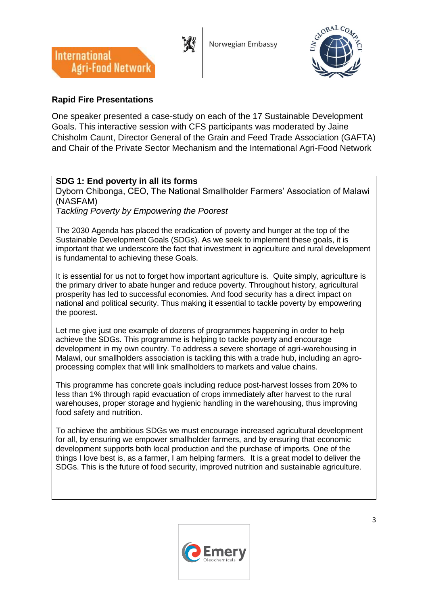





### **Rapid Fire Presentations**

One speaker presented a case-study on each of the 17 Sustainable Development Goals. This interactive session with CFS participants was moderated by Jaine Chisholm Caunt, Director General of the Grain and Feed Trade Association (GAFTA) and Chair of the Private Sector Mechanism and the International Agri-Food Network

### **SDG 1: End poverty in all its forms**

Dyborn Chibonga, CEO, The National Smallholder Farmers' Association of Malawi (NASFAM)

*Tackling Poverty by Empowering the Poorest*

The 2030 Agenda has placed the eradication of poverty and hunger at the top of the Sustainable Development Goals (SDGs). As we seek to implement these goals, it is important that we underscore the fact that investment in agriculture and rural development is fundamental to achieving these Goals.

It is essential for us not to forget how important agriculture is. Quite simply, agriculture is the primary driver to abate hunger and reduce poverty. Throughout history, agricultural prosperity has led to successful economies. And food security has a direct impact on national and political security. Thus making it essential to tackle poverty by empowering the poorest.

Let me give just one example of dozens of programmes happening in order to help achieve the SDGs. This programme is helping to tackle poverty and encourage development in my own country. To address a severe shortage of agri-warehousing in Malawi, our smallholders association is tackling this with a trade hub, including an agroprocessing complex that will link smallholders to markets and value chains.

This programme has concrete goals including reduce post-harvest losses from 20% to less than 1% through rapid evacuation of crops immediately after harvest to the rural warehouses, proper storage and hygienic handling in the warehousing, thus improving food safety and nutrition.

To achieve the ambitious SDGs we must encourage increased agricultural development for all, by ensuring we empower smallholder farmers, and by ensuring that economic development supports both local production and the purchase of imports. One of the things I love best is, as a farmer, I am helping farmers. It is a great model to deliver the SDGs. This is the future of food security, improved nutrition and sustainable agriculture.

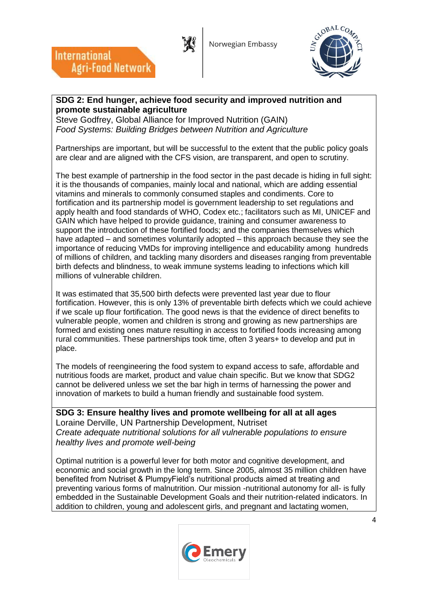



### **SDG 2: End hunger, achieve food security and improved nutrition and promote sustainable agriculture**

Steve Godfrey, Global Alliance for Improved Nutrition (GAIN) *Food Systems: Building Bridges between Nutrition and Agriculture*

 $\overline{\phantom{a}}$ 

**International** 

**Agri-Food Network** 

Partnerships are important, but will be successful to the extent that the public policy goals are clear and are aligned with the CFS vision, are transparent, and open to scrutiny.

The best example of partnership in the food sector in the past decade is hiding in full sight: it is the thousands of companies, mainly local and national, which are adding essential vitamins and minerals to commonly consumed staples and condiments. Core to fortification and its partnership model is government leadership to set regulations and apply health and food standards of WHO, Codex etc.; facilitators such as MI, UNICEF and GAIN which have helped to provide guidance, training and consumer awareness to support the introduction of these fortified foods; and the companies themselves which have adapted – and sometimes voluntarily adopted – this approach because they see the importance of reducing VMDs for improving intelligence and educability among hundreds of millions of children, and tackling many disorders and diseases ranging from preventable birth defects and blindness, to weak immune systems leading to infections which kill millions of vulnerable children.

It was estimated that 35,500 birth defects were prevented last year due to flour fortification. However, this is only 13% of preventable birth defects which we could achieve if we scale up flour fortification. The good news is that the evidence of direct benefits to vulnerable people, women and children is strong and growing as new partnerships are formed and existing ones mature resulting in access to fortified foods increasing among rural communities. These partnerships took time, often 3 years+ to develop and put in place.

The models of reengineering the food system to expand access to safe, affordable and nutritious foods are market, product and value chain specific. But we know that SDG2 cannot be delivered unless we set the bar high in terms of harnessing the power and innovation of markets to build a human friendly and sustainable food system.

**SDG 3: Ensure healthy lives and promote wellbeing for all at all ages** Loraine Derville, UN Partnership Development, Nutriset *Create adequate nutritional solutions for all vulnerable populations to ensure healthy lives and promote well-being*

Optimal nutrition is a powerful lever for both motor and cognitive development, and economic and social growth in the long term. Since 2005, almost 35 million children have benefited from Nutriset & PlumpyField's nutritional products aimed at treating and preventing various forms of malnutrition. Our mission -nutritional autonomy for all- is fully embedded in the Sustainable Development Goals and their nutrition-related indicators. In addition to children, young and adolescent girls, and pregnant and lactating women,

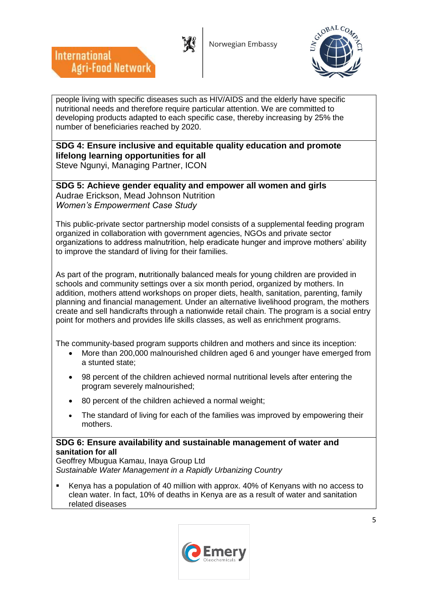



people living with specific diseases such as HIV/AIDS and the elderly have specific nutritional needs and therefore require particular attention. We are committed to developing products adapted to each specific case, thereby increasing by 25% the number of beneficiaries reached by 2020.

# **SDG 4: Ensure inclusive and equitable quality education and promote lifelong learning opportunities for all**

Steve Ngunyi, Managing Partner, ICON

**International** 

**Agri-Food Network** 

**SDG 5: Achieve gender equality and empower all women and girls** Audrae Erickson, Mead Johnson Nutrition *Women's Empowerment Case Study* 

This public-private sector partnership model consists of a supplemental feeding program organized in collaboration with government agencies, NGOs and private sector organizations to address malnutrition, help eradicate hunger and improve mothers' ability to improve the standard of living for their families.

As part of the program, **n**utritionally balanced meals for young children are provided in schools and community settings over a six month period, organized by mothers. In addition, mothers attend workshops on proper diets, health, sanitation, parenting, family planning and financial management. Under an alternative livelihood program, the mothers create and sell handicrafts through a nationwide retail chain. The program is a social entry point for mothers and provides life skills classes, as well as enrichment programs.

The community-based program supports children and mothers and since its inception:

- More than 200,000 malnourished children aged 6 and younger have emerged from a stunted state;
- 98 percent of the children achieved normal nutritional levels after entering the program severely malnourished;
- 80 percent of the children achieved a normal weight;
- The standard of living for each of the families was improved by empowering their mothers.

### **SDG 6: Ensure availability and sustainable management of water and sanitation for all**

Geoffrey Mbugua Kamau, Inaya Group Ltd *Sustainable Water Management in a Rapidly Urbanizing Country*

 Kenya has a population of 40 million with approx. 40% of Kenyans with no access to clean water. In fact, 10% of deaths in Kenya are as a result of water and sanitation related diseases

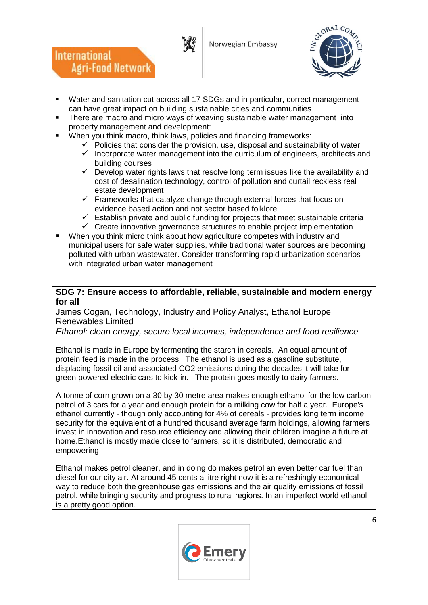

**International** 

**Agri-Food Network** 



- Water and sanitation cut across all 17 SDGs and in particular, correct management can have great impact on building sustainable cities and communities
- There are macro and micro ways of weaving sustainable water management into property management and development:
- When you think macro, think laws, policies and financing frameworks:
	- $\checkmark$  Policies that consider the provision, use, disposal and sustainability of water
	- $\checkmark$  Incorporate water management into the curriculum of engineers, architects and building courses
	- $\checkmark$  Develop water rights laws that resolve long term issues like the availability and cost of desalination technology, control of pollution and curtail reckless real estate development
	- $\checkmark$  Frameworks that catalyze change through external forces that focus on evidence based action and not sector based folklore
	- $\checkmark$  Establish private and public funding for projects that meet sustainable criteria
	- $\checkmark$  Create innovative governance structures to enable project implementation
- When you think micro think about how agriculture competes with industry and municipal users for safe water supplies, while traditional water sources are becoming polluted with urban wastewater. Consider transforming rapid urbanization scenarios with integrated urban water management

#### **SDG 7: Ensure access to affordable, reliable, sustainable and modern energy for all**

James Cogan, Technology, Industry and Policy Analyst, Ethanol Europe Renewables Limited

*Ethanol: clean energy, secure local incomes, independence and food resilience*

Ethanol is made in Europe by fermenting the starch in cereals. An equal amount of protein feed is made in the process. The ethanol is used as a gasoline substitute, displacing fossil oil and associated CO2 emissions during the decades it will take for green powered electric cars to kick-in. The protein goes mostly to dairy farmers.

A tonne of corn grown on a 30 by 30 metre area makes enough ethanol for the low carbon petrol of 3 cars for a year and enough protein for a milking cow for half a year. Europe's ethanol currently - though only accounting for 4% of cereals - provides long term income security for the equivalent of a hundred thousand average farm holdings, allowing farmers invest in innovation and resource efficiency and allowing their children imagine a future at home.Ethanol is mostly made close to farmers, so it is distributed, democratic and empowering.

Ethanol makes petrol cleaner, and in doing do makes petrol an even better car fuel than diesel for our city air. At around 45 cents a litre right now it is a refreshingly economical way to reduce both the greenhouse gas emissions and the air quality emissions of fossil petrol, while bringing security and progress to rural regions. In an imperfect world ethanol is a pretty good option.

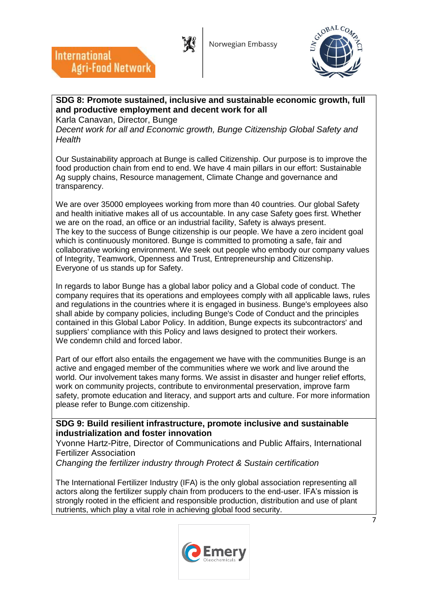



# **SDG 8: Promote sustained, inclusive and sustainable economic growth, full and productive employment and decent work for all**

Karla Canavan, Director, Bunge

**Agri-Food Network** 

**International** 

*Decent work for all and Economic growth, Bunge Citizenship Global Safety and Health*

Our Sustainability approach at Bunge is called Citizenship. Our purpose is to improve the food production chain from end to end. We have 4 main pillars in our effort: Sustainable Ag supply chains, Resource management, Climate Change and governance and transparency.

We are over 35000 employees working from more than 40 countries. Our global Safety and health initiative makes all of us accountable. In any case Safety goes first. Whether we are on the road, an office or an industrial facility, Safety is always present. The key to the success of Bunge citizenship is our people. We have a zero incident goal which is continuously monitored. Bunge is committed to promoting a safe, fair and collaborative working environment. We seek out people who embody our company values of Integrity, Teamwork, Openness and Trust, Entrepreneurship and Citizenship. Everyone of us stands up for Safety.

In regards to labor Bunge has a global labor policy and a Global code of conduct. The company requires that its operations and employees comply with all applicable laws, rules and regulations in the countries where it is engaged in business. Bunge's employees also shall abide by company policies, including Bunge's Code of Conduct and the principles contained in this Global Labor Policy. In addition, Bunge expects its subcontractors' and suppliers' compliance with this Policy and laws designed to protect their workers. We condemn child and forced labor.

Part of our effort also entails the engagement we have with the communities Bunge is an active and engaged member of the communities where we work and live around the world. Our involvement takes many forms. We assist in disaster and hunger relief efforts, work on community projects, contribute to environmental preservation, improve farm safety, promote education and literacy, and support arts and culture. For more information please refer to Bunge.com citizenship.

#### **SDG 9: Build resilient infrastructure, promote inclusive and sustainable industrialization and foster innovation**

Yvonne Hartz-Pitre, Director of Communications and Public Affairs, International Fertilizer Association

*Changing the fertilizer industry through Protect & Sustain certification*

The International Fertilizer Industry (IFA) is the only global association representing all actors along the fertilizer supply chain from producers to the end-user. IFA's mission is strongly rooted in the efficient and responsible production, distribution and use of plant nutrients, which play a vital role in achieving global food security.

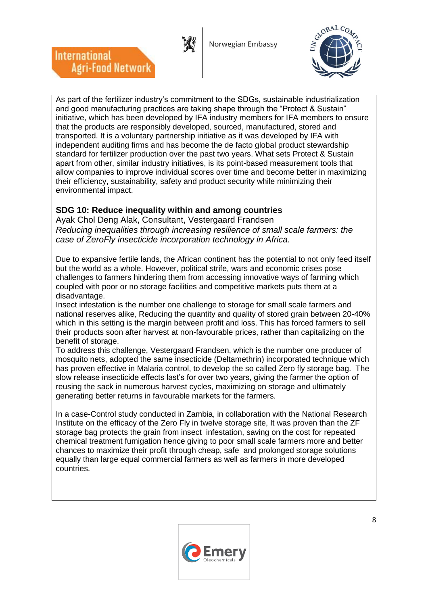Norwegian Embassy



As part of the fertilizer industry's commitment to the SDGs, sustainable industrialization and good manufacturing practices are taking shape through the "Protect & Sustain" initiative, which has been developed by IFA industry members for IFA members to ensure that the products are responsibly developed, sourced, manufactured, stored and transported. It is a voluntary partnership initiative as it was developed by IFA with independent auditing firms and has become the de facto global product stewardship standard for fertilizer production over the past two years. What sets Protect & Sustain apart from other, similar industry initiatives, is its point-based measurement tools that allow companies to improve individual scores over time and become better in maximizing their efficiency, sustainability, safety and product security while minimizing their environmental impact.

# **SDG 10: Reduce inequality within and among countries**

 $\overline{\phantom{a}}$ 

**International** 

**Agri-Food Network** 

Ayak Chol Deng Alak, Consultant, Vestergaard Frandsen *Reducing inequalities through increasing resilience of small scale farmers: the case of ZeroFly insecticide incorporation technology in Africa.*

Due to expansive fertile lands, the African continent has the potential to not only feed itself but the world as a whole. However, political strife, wars and economic crises pose challenges to farmers hindering them from accessing innovative ways of farming which coupled with poor or no storage facilities and competitive markets puts them at a disadvantage.

Insect infestation is the number one challenge to storage for small scale farmers and national reserves alike, Reducing the quantity and quality of stored grain between 20-40% which in this setting is the margin between profit and loss. This has forced farmers to sell their products soon after harvest at non-favourable prices, rather than capitalizing on the benefit of storage.

To address this challenge, Vestergaard Frandsen, which is the number one producer of mosquito nets, adopted the same insecticide (Deltamethrin) incorporated technique which has proven effective in Malaria control, to develop the so called Zero fly storage bag. The slow release insecticide effects last's for over two years, giving the farmer the option of reusing the sack in numerous harvest cycles, maximizing on storage and ultimately generating better returns in favourable markets for the farmers.

In a case-Control study conducted in Zambia, in collaboration with the National Research Institute on the efficacy of the Zero Fly in twelve storage site, It was proven than the ZF storage bag protects the grain from insect infestation, saving on the cost for repeated chemical treatment fumigation hence giving to poor small scale farmers more and better chances to maximize their profit through cheap, safe and prolonged storage solutions equally than large equal commercial farmers as well as farmers in more developed countries.

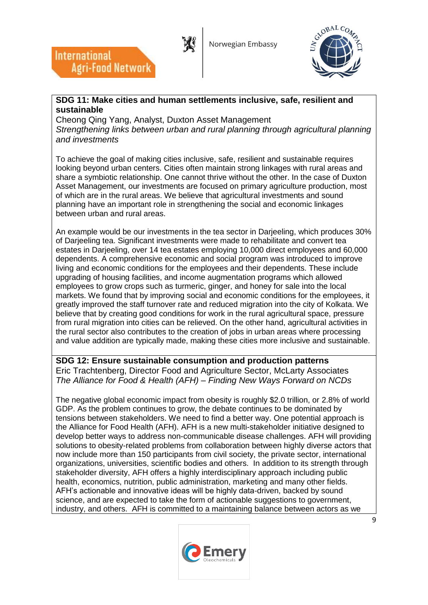



#### **SDG 11: Make cities and human settlements inclusive, safe, resilient and sustainable**

Cheong Qing Yang, Analyst, Duxton Asset Management *Strengthening links between urban and rural planning through agricultural planning and investments*

To achieve the goal of making cities inclusive, safe, resilient and sustainable requires looking beyond urban centers. Cities often maintain strong linkages with rural areas and share a symbiotic relationship. One cannot thrive without the other. In the case of Duxton Asset Management, our investments are focused on primary agriculture production, most of which are in the rural areas. We believe that agricultural investments and sound planning have an important role in strengthening the social and economic linkages between urban and rural areas.

An example would be our investments in the tea sector in Darjeeling, which produces 30% of Darjeeling tea. Significant investments were made to rehabilitate and convert tea estates in Darjeeling, over 14 tea estates employing 10,000 direct employees and 60,000 dependents. A comprehensive economic and social program was introduced to improve living and economic conditions for the employees and their dependents. These include upgrading of housing facilities, and income augmentation programs which allowed employees to grow crops such as turmeric, ginger, and honey for sale into the local markets. We found that by improving social and economic conditions for the employees, it greatly improved the staff turnover rate and reduced migration into the city of Kolkata. We believe that by creating good conditions for work in the rural agricultural space, pressure from rural migration into cities can be relieved. On the other hand, agricultural activities in the rural sector also contributes to the creation of jobs in urban areas where processing and value addition are typically made, making these cities more inclusive and sustainable.

**SDG 12: Ensure sustainable consumption and production patterns** Eric Trachtenberg, Director Food and Agriculture Sector, McLarty Associates *The Alliance for Food & Health (AFH) – Finding New Ways Forward on NCDs*

The negative global economic impact from obesity is roughly \$2.0 trillion, or 2.8% of world GDP. As the problem continues to grow, the debate continues to be dominated by tensions between stakeholders. We need to find a better way. One potential approach is the Alliance for Food Health (AFH). AFH is a new multi-stakeholder initiative designed to develop better ways to address non-communicable disease challenges. AFH will providing solutions to obesity-related problems from collaboration between highly diverse actors that now include more than 150 participants from civil society, the private sector, international organizations, universities, scientific bodies and others. In addition to its strength through stakeholder diversity, AFH offers a highly interdisciplinary approach including public health, economics, nutrition, public administration, marketing and many other fields. AFH's actionable and innovative ideas will be highly data-driven, backed by sound science, and are expected to take the form of actionable suggestions to government, industry, and others. AFH is committed to a maintaining balance between actors as we

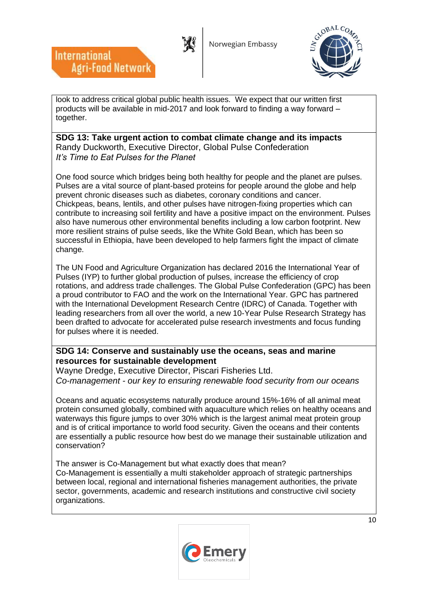



look to address critical global public health issues. We expect that our written first products will be available in mid-2017 and look forward to finding a way forward – together.

 $\overline{\phantom{a}}$ 

**International** 

**Agri-Food Network** 

#### **SDG 13: Take urgent action to combat climate change and its impacts** Randy Duckworth, Executive Director, Global Pulse Confederation *It's Time to Eat Pulses for the Planet*

One food source which bridges being both healthy for people and the planet are pulses. Pulses are a vital source of plant-based proteins for people around the globe and help prevent chronic diseases such as diabetes, coronary conditions and cancer. Chickpeas, beans, lentils, and other pulses have nitrogen-fixing properties which can contribute to increasing soil fertility and have a positive impact on the environment. Pulses also have numerous other environmental benefits including a low carbon footprint. New more resilient strains of pulse seeds, like the White Gold Bean, which has been so successful in Ethiopia, have been developed to help farmers fight the impact of climate change.

The UN Food and Agriculture Organization has declared 2016 the International Year of Pulses (IYP) to further global production of pulses, increase the efficiency of crop rotations, and address trade challenges. The Global Pulse Confederation (GPC) has been a proud contributor to FAO and the work on the International Year. GPC has partnered with the International Development Research Centre (IDRC) of Canada. Together with leading researchers from all over the world, a new 10-Year Pulse Research Strategy has been drafted to advocate for accelerated pulse research investments and focus funding for pulses where it is needed.

### **SDG 14: Conserve and sustainably use the oceans, seas and marine resources for sustainable development**

Wayne Dredge, Executive Director, Piscari Fisheries Ltd. *Co-management - our key to ensuring renewable food security from our oceans*

Oceans and aquatic ecosystems naturally produce around 15%-16% of all animal meat protein consumed globally, combined with aquaculture which relies on healthy oceans and waterways this figure jumps to over 30% which is the largest animal meat protein group and is of critical importance to world food security. Given the oceans and their contents are essentially a public resource how best do we manage their sustainable utilization and conservation?

The answer is Co-Management but what exactly does that mean? Co-Management is essentially a multi stakeholder approach of strategic partnerships between local, regional and international fisheries management authorities, the private sector, governments, academic and research institutions and constructive civil society organizations.

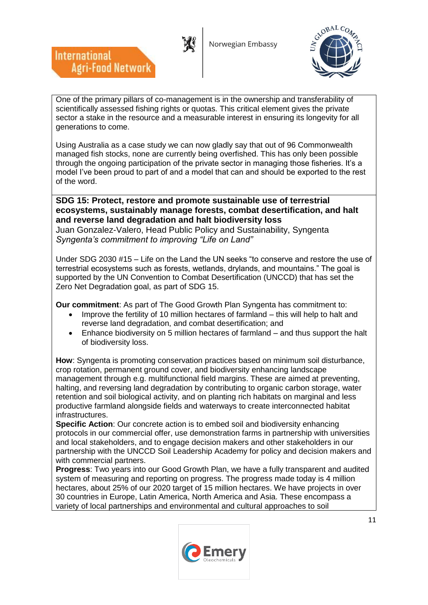

**International** 

**Agri-Food Network** 



One of the primary pillars of co-management is in the ownership and transferability of scientifically assessed fishing rights or quotas. This critical element gives the private sector a stake in the resource and a measurable interest in ensuring its longevity for all generations to come.

Using Australia as a case study we can now gladly say that out of 96 Commonwealth managed fish stocks, none are currently being overfished. This has only been possible through the ongoing participation of the private sector in managing those fisheries. It's a model I've been proud to part of and a model that can and should be exported to the rest of the word.

**SDG 15: Protect, restore and promote sustainable use of terrestrial ecosystems, sustainably manage forests, combat desertification, and halt and reverse land degradation and halt biodiversity loss** Juan Gonzalez-Valero, Head Public Policy and Sustainability, Syngenta *Syngenta's commitment to improving "Life on Land"*

Under SDG 2030 #15 – Life on the Land the UN seeks "to conserve and restore the use of terrestrial ecosystems such as forests, wetlands, drylands, and mountains." The goal is supported by the UN Convention to Combat Desertification (UNCCD) that has set the Zero Net Degradation goal, as part of SDG 15.

**Our commitment**: As part of The Good Growth Plan Syngenta has commitment to:

- Improve the fertility of 10 million hectares of farmland this will help to halt and reverse land degradation, and combat desertification; and
- Enhance biodiversity on 5 million hectares of farmland and thus support the halt of biodiversity loss.

**How**: Syngenta is promoting conservation practices based on minimum soil disturbance, crop rotation, permanent ground cover, and biodiversity enhancing landscape management through e.g. multifunctional field margins. These are aimed at preventing, halting, and reversing land degradation by contributing to organic carbon storage, water retention and soil biological activity, and on planting rich habitats on marginal and less productive farmland alongside fields and waterways to create interconnected habitat infrastructures.

**Specific Action**: Our concrete action is to embed soil and biodiversity enhancing protocols in our commercial offer, use demonstration farms in partnership with universities and local stakeholders, and to engage decision makers and other stakeholders in our partnership with the UNCCD Soil Leadership Academy for policy and decision makers and with commercial partners.

**Progress**: Two years into our Good Growth Plan, we have a fully transparent and audited system of measuring and reporting on progress. The progress made today is 4 million hectares, about 25% of our 2020 target of 15 million hectares. We have projects in over 30 countries in Europe, Latin America, North America and Asia. These encompass a variety of local partnerships and environmental and cultural approaches to soil

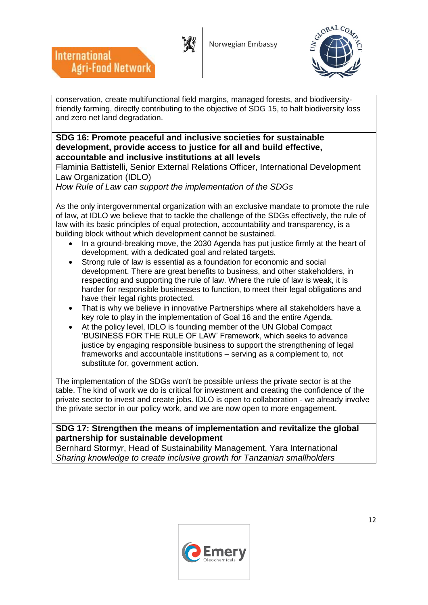Norwegian Embassy



conservation, create multifunctional field margins, managed forests, and biodiversityfriendly farming, directly contributing to the objective of SDG 15, to halt biodiversity loss and zero net land degradation.

#### **SDG 16: Promote peaceful and inclusive societies for sustainable development, provide access to justice for all and build effective, accountable and inclusive institutions at all levels**

Flaminia Battistelli, Senior External Relations Officer, International Development Law Organization (IDLO)

*How Rule of Law can support the implementation of the SDGs*

 $\overline{\phantom{a}}$ 

**International** 

**Agri-Food Network** 

As the only intergovernmental organization with an exclusive mandate to promote the rule of law, at IDLO we believe that to tackle the challenge of the SDGs effectively, the rule of law with its basic principles of equal protection, accountability and transparency, is a building block without which development cannot be sustained.

- In a ground-breaking move, the 2030 Agenda has put justice firmly at the heart of development, with a dedicated goal and related targets.
- Strong rule of law is essential as a foundation for economic and social development. There are great benefits to business, and other stakeholders, in respecting and supporting the rule of law. Where the rule of law is weak, it is harder for responsible businesses to function, to meet their legal obligations and have their legal rights protected.
- That is why we believe in innovative Partnerships where all stakeholders have a key role to play in the implementation of Goal 16 and the entire Agenda.
- At the policy level, IDLO is founding member of the UN Global Compact 'BUSINESS FOR THE RULE OF LAW' Framework, which seeks to advance justice by engaging responsible business to support the strengthening of legal frameworks and accountable institutions – serving as a complement to, not substitute for, government action.

The implementation of the SDGs won't be possible unless the private sector is at the table. The kind of work we do is critical for investment and creating the confidence of the private sector to invest and create jobs. IDLO is open to collaboration - we already involve the private sector in our policy work, and we are now open to more engagement.

### **SDG 17: Strengthen the means of implementation and revitalize the global partnership for sustainable development**

Bernhard Stormyr, Head of Sustainability Management, Yara International *Sharing knowledge to create inclusive growth for Tanzanian smallholders*